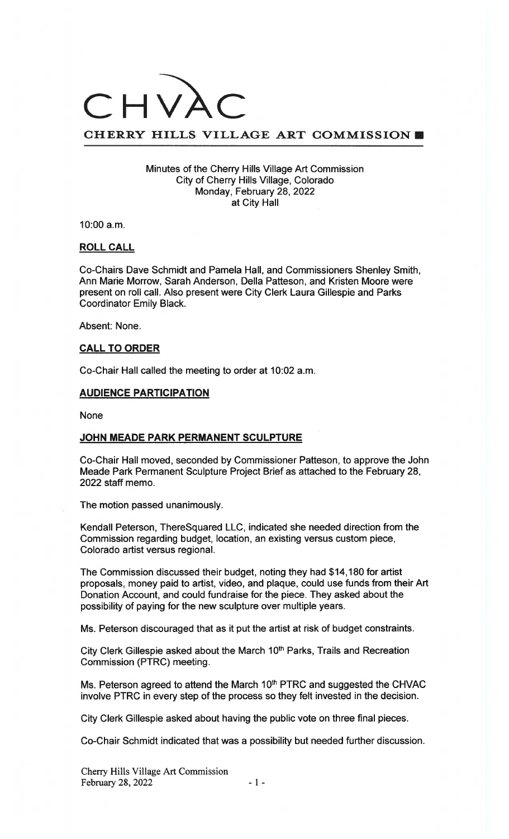# CHVA

# CHERRY HILLS VILLAGE ART COMMISSION

#### Minutes of the Cherry Hills Village Art Commission City of Cherry Hills Village, Colorado Monday, February 28, 2022 at City Hall

10:00 a.m.

## ROLL CALL

Co-Chairs Dave Schmidt and Pamela Hall, and Commissioners Shenley Smith, Ann Marie Morrow, Sarah Anderson, Della Patteson, and Kristen Moore were present on roll call. Also present were City Clerk Laura Gillespie and Parks Coordinator Emily Black.

Absent: None.

# CALL TO ORDER

Co-Chair Hall called the meeting to order at 10:02 a.m.

#### AUDIENCE PARTICIPATION

None

#### JOHN MEADE PARK PERMANENT SCULPTURE

Co-Chair Hall moved, seconded by Commissioner Patteson, to approve the John Meade Park Permanent Sculpture Project Brief as attached to the February 28, 2022 staff memo.

The motion passed unanimously.

Kendall Peterson, ThereSquared LLC, indicated she needed direction from the Commission regarding budget, location, an existing versus custom piece, Colorado artist versus regional.

The Commission discussed their budget, noting they had \$14,180 for artist proposals, money paid to artist, video, and plaque, could use funds from their Art Donation Account, and could fundraise for the piece. They asked about the possibility of paying for the new sculpture over multiple years.

Ms. Peterson discouraged that as it put the artist at risk of budget constraints.

City Clerk Gillespie asked about the March 10<sup>th</sup> Parks, Trails and Recreation Commission (PTRC) meeting.

Ms. Peterson agreed to attend the March 10<sup>th</sup> PTRC and suggested the CHVAC involve PTRC in every step of the process so they felt invested in the decision.

City Clerk Gillespie asked about having the public vote on three final pieces.

Co-Chair Schmidt indicated that was a possibility but needed further discussion.

Cherry Hills Village Art Commission February 28, 2022 - 1 -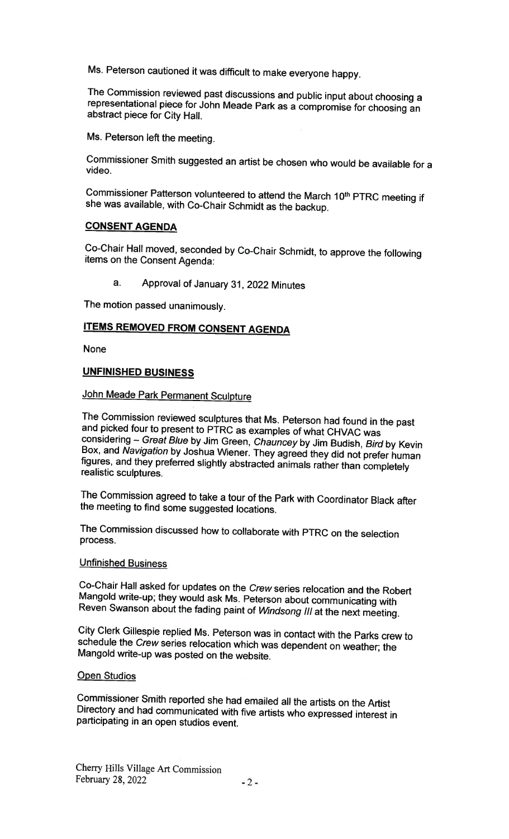Ms. Peterson cautioned it was difficult to make everyone happy.

The Commission reviewed past discussions and public input about choosing <sup>a</sup> representational <sup>p</sup>iece for John Meade Park as <sup>a</sup> compromise for choosing an abstract <sup>p</sup>iece for City Hall

Ms. Peterson left the meeting.

Commissioner Smith suggested an artist be chosen who would be available for <sup>a</sup> video.

Commissioner Patterson volunteered to attend the March 10<sup>th</sup> PTRC meeting if she was available, with Co-Chair Schmidt as the backup.

### CONSENT AGENDA

Co-Chair Hall moved, seconded by Co-Chair Schmidt, to approve the following items on the Consent Agenda:

a. Approval of January 31, <sup>2022</sup> Minutes

The motion passed unanimously.

# ITEMS REMOVED FROM CONSENT AGENDA

None

# UNFINISHED BUSINESS

# John Meade Park Permanent Sculpture

The Commission reviewed sculptures that Ms. Peterson had found in the past and <sup>p</sup>icked four to present to PTRC as examples of what CHVAC was considering — Great Blue by Jim Green, Chauncey by Jim Budish, Bird by Kevin Box, and Navigation by Joshua Wiener. They agreed they did not prefer human figures, and they preferred slightly abstracted animals rather than completely realistic sculptures.

The Commission agreed to take <sup>a</sup> tour of the Park with Coordinator Black after the meeting to find some suggested locations.

The Commission discussed how to collaborate with PTRC on the selection process.

# Unfinished Business

Co-Chair Hall asked for updates on the Crew series relocation and the Robert Mangold write-up; they would ask Ms. Peterson about communicating with Reven Swanson about the fading paint of Windsong III at the next meeting.

City Clerk Gillespie replied Ms. Peterson was in contact with the Parks crew to schedule the Crew series relocation which was dependent on weather; the Mangold write-up was posted on the website.

### Open Studios

Commissioner Smith reported she had emailed all the artists on the Artist Directory and had communicated with five artists who expressed interest in participating in an open studios event.